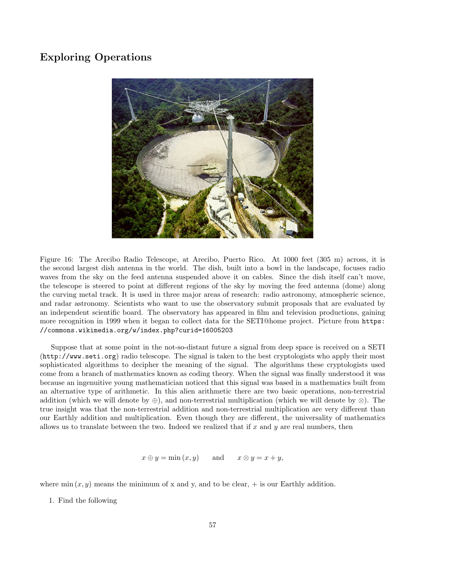## Exploring Operations



Figure 16: The Arecibo Radio Telescope, at Arecibo, Puerto Rico. At 1000 feet (305 m) across, it is the second largest dish antenna in the world. The dish, built into a bowl in the landscape, focuses radio waves from the sky on the feed antenna suspended above it on cables. Since the dish itself can't move, the telescope is steered to point at different regions of the sky by moving the feed antenna (dome) along the curving metal track. It is used in three major areas of research: radio astronomy, atmospheric science, and radar astronomy. Scientists who want to use the observatory submit proposals that are evaluated by an independent scientific board. The observatory has appeared in film and television productions, gaining more recognition in 1999 when it began to collect data for the SETI@home project. Picture from https: //commons.wikimedia.org/w/index.php?curid=16005203

Suppose that at some point in the not-so-distant future a signal from deep space is received on a SETI (http://www.seti.org) radio telescope. The signal is taken to the best cryptologists who apply their most sophisticated algorithms to decipher the meaning of the signal. The algorithms these cryptologists used come from a branch of mathematics known as coding theory. When the signal was finally understood it was because an ingenuitive young mathematician noticed that this signal was based in a mathematics built from an alternative type of arithmetic. In this alien arithmetic there are two basic operations, non-terrestrial addition (which we will denote by ⊕), and non-terrestrial multiplication (which we will denote by  $\otimes$ ). The true insight was that the non-terrestrial addition and non-terrestrial multiplication are very different than our Earthly addition and multiplication. Even though they are different, the universality of mathematics allows us to translate between the two. Indeed we realized that if  $x$  and  $y$  are real numbers, then

$$
x \oplus y = \min(x, y)
$$
 and  $x \otimes y = x + y$ ,

where min  $(x, y)$  means the minimum of x and y, and to be clear,  $+$  is our Earthly addition.

1. Find the following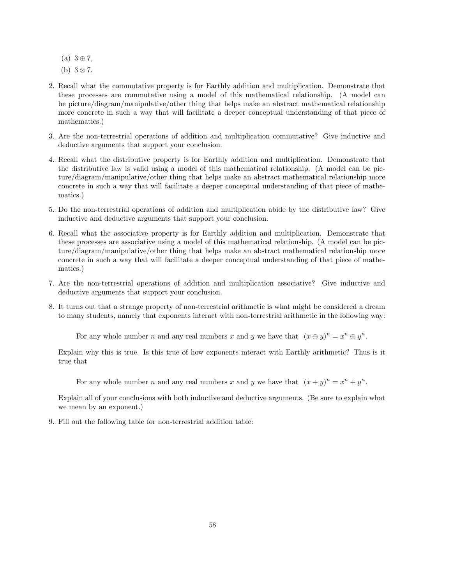- $(a)$  3  $\oplus$  7,
- (b)  $3 \otimes 7$ .
- 2. Recall what the commutative property is for Earthly addition and multiplication. Demonstrate that these processes are commutative using a model of this mathematical relationship. (A model can be picture/diagram/manipulative/other thing that helps make an abstract mathematical relationship more concrete in such a way that will facilitate a deeper conceptual understanding of that piece of mathematics.)
- 3. Are the non-terrestrial operations of addition and multiplication commutative? Give inductive and deductive arguments that support your conclusion.
- 4. Recall what the distributive property is for Earthly addition and multiplication. Demonstrate that the distributive law is valid using a model of this mathematical relationship. (A model can be picture/diagram/manipulative/other thing that helps make an abstract mathematical relationship more concrete in such a way that will facilitate a deeper conceptual understanding of that piece of mathematics.)
- 5. Do the non-terrestrial operations of addition and multiplication abide by the distributive law? Give inductive and deductive arguments that support your conclusion.
- 6. Recall what the associative property is for Earthly addition and multiplication. Demonstrate that these processes are associative using a model of this mathematical relationship. (A model can be picture/diagram/manipulative/other thing that helps make an abstract mathematical relationship more concrete in such a way that will facilitate a deeper conceptual understanding of that piece of mathematics.)
- 7. Are the non-terrestrial operations of addition and multiplication associative? Give inductive and deductive arguments that support your conclusion.
- 8. It turns out that a strange property of non-terrestrial arithmetic is what might be considered a dream to many students, namely that exponents interact with non-terrestrial arithmetic in the following way:

For any whole number *n* and any real numbers *x* and *y* we have that  $(x \oplus y)^n = x^n \oplus y^n$ .

Explain why this is true. Is this true of how exponents interact with Earthly arithmetic? Thus is it true that

For any whole number *n* and any real numbers *x* and *y* we have that  $(x + y)^n = x^n + y^n$ .

Explain all of your conclusions with both inductive and deductive arguments. (Be sure to explain what we mean by an exponent.)

9. Fill out the following table for non-terrestrial addition table: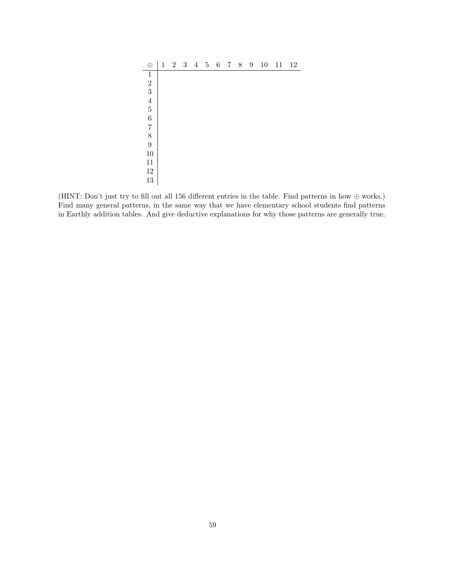| $\oplus$                              | $\mathbf 1$ | $\overline{2}$ | $\sqrt{3}$ | $\overline{4}$ | $\bf 5$ | $\,6$ | $\overline{7}$ | $8\,$ | $\,9$ | $10\,$ | 11 | $12\,$ |
|---------------------------------------|-------------|----------------|------------|----------------|---------|-------|----------------|-------|-------|--------|----|--------|
| $\mathbf{1}$                          |             |                |            |                |         |       |                |       |       |        |    |        |
| $\sqrt{2}$                            |             |                |            |                |         |       |                |       |       |        |    |        |
| 3                                     |             |                |            |                |         |       |                |       |       |        |    |        |
| $\overline{4}$                        |             |                |            |                |         |       |                |       |       |        |    |        |
| $\overline{5}$                        |             |                |            |                |         |       |                |       |       |        |    |        |
| $\overline{6}$                        |             |                |            |                |         |       |                |       |       |        |    |        |
| $\!\!7$                               |             |                |            |                |         |       |                |       |       |        |    |        |
| $\begin{array}{c} 8 \\ 9 \end{array}$ |             |                |            |                |         |       |                |       |       |        |    |        |
|                                       |             |                |            |                |         |       |                |       |       |        |    |        |
| 10                                    |             |                |            |                |         |       |                |       |       |        |    |        |
| 11                                    |             |                |            |                |         |       |                |       |       |        |    |        |
| $12\,$                                |             |                |            |                |         |       |                |       |       |        |    |        |
| $13\,$                                |             |                |            |                |         |       |                |       |       |        |    |        |

(HINT: Don't just try to fill out all 156 different entries in the table. Find patterns in how  $\oplus$  works.) Find many general patterns, in the same way that we have elementary school students find patterns in Earthly addition tables. And give deductive explanations for why those patterns are generally true.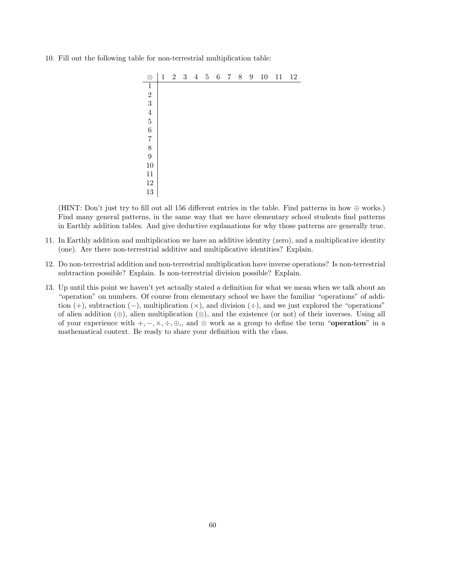10. Fill out the following table for non-terrestrial multiplication table:

| $\otimes$                                        | $\mathbf{1}$ | $\overline{2}$ | $\sqrt{3}$ | $\overline{4}$ | $\overline{5}$ | $\,6\,$ | $\overline{7}$ | $8\,$ | $9\phantom{.0}$ | $10\,$ | 11 | 12 |
|--------------------------------------------------|--------------|----------------|------------|----------------|----------------|---------|----------------|-------|-----------------|--------|----|----|
| $\,1$                                            |              |                |            |                |                |         |                |       |                 |        |    |    |
|                                                  |              |                |            |                |                |         |                |       |                 |        |    |    |
|                                                  |              |                |            |                |                |         |                |       |                 |        |    |    |
|                                                  |              |                |            |                |                |         |                |       |                 |        |    |    |
| $\begin{array}{c} 2\\ 3\\ 4\\ 5\\ 6 \end{array}$ |              |                |            |                |                |         |                |       |                 |        |    |    |
|                                                  |              |                |            |                |                |         |                |       |                 |        |    |    |
|                                                  |              |                |            |                |                |         |                |       |                 |        |    |    |
| $\begin{array}{c} 7 \\ 8 \\ 9 \end{array}$       |              |                |            |                |                |         |                |       |                 |        |    |    |
|                                                  |              |                |            |                |                |         |                |       |                 |        |    |    |
| 10                                               |              |                |            |                |                |         |                |       |                 |        |    |    |
| 11                                               |              |                |            |                |                |         |                |       |                 |        |    |    |
| $12\,$                                           |              |                |            |                |                |         |                |       |                 |        |    |    |
| $13\,$                                           |              |                |            |                |                |         |                |       |                 |        |    |    |

(HINT: Don't just try to fill out all 156 different entries in the table. Find patterns in how  $\oplus$  works.) Find many general patterns, in the same way that we have elementary school students find patterns in Earthly addition tables. And give deductive explanations for why those patterns are generally true.

- 11. In Earthly addition and multiplication we have an additive identity (zero), and a multiplicative identity (one). Are there non-terrestrial additive and multiplicative identities? Explain.
- 12. Do non-terrestrial addition and non-terrestrial multiplication have inverse operations? Is non-terrestrial subtraction possible? Explain. Is non-terrestrial division possible? Explain.
- 13. Up until this point we haven't yet actually stated a definition for what we mean when we talk about an "operation" on numbers. Of course from elementary school we have the familiar "operations" of addition  $(+)$ , subtraction  $(-)$ , multiplication  $(\times)$ , and division  $(±)$ , and we just explored the "operations" of alien addition  $(\oplus)$ , alien multiplication  $(\otimes)$ , and the existence (or not) of their inverses. Using all of your experience with  $+, -, \times, \div, \oplus$ ,, and ⊗ work as a group to define the term "**operation**" in a mathematical context. Be ready to share your definition with the class.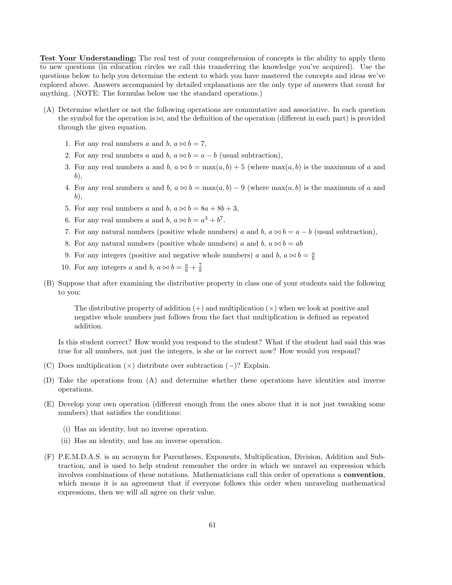Test Your Understanding: The real test of your comprehension of concepts is the ability to apply them to new questions (in education circles we call this transferring the knowledge you've acquired). Use the questions below to help you determine the extent to which you have mastered the concepts and ideas we've explored above. Answers accompanied by detailed explanations are the only type of answers that count for anything. (NOTE: The formulas below use the standard operations.)

- (A) Determine whether or not the following operations are commutative and associative. In each question the symbol for the operation is  $\bowtie$ , and the definition of the operation (different in each part) is provided through the given equation.
	- 1. For any real numbers a and b,  $a \bowtie b = 7$ ,
	- 2. For any real numbers a and b,  $a \bowtie b = a b$  (usual subtraction),
	- 3. For any real numbers a and b,  $a \bowtie b = \max(a, b) + 5$  (where  $\max(a, b)$ ) is the maximum of a and b),
	- 4. For any real numbers a and b,  $a \bowtie b = \max(a, b) 9$  (where  $\max(a, b)$  is the maximum of a and b),
	- 5. For any real numbers a and b,  $a \bowtie b = 8a + 8b + 3$ ,
	- 6. For any real numbers a and b,  $a \bowtie b = a^3 + b^7$ .
	- 7. For any natural numbers (positive whole numbers) a and b,  $a \approx b = a b$  (usual subtraction),
	- 8. For any natural numbers (positive whole numbers) a and b,  $a \bowtie b = ab$
	- 9. For any integers (positive and negative whole numbers) a and b,  $a \bowtie b = \frac{a}{b}$
	- 10. For any integers a and b,  $a \bowtie b = \frac{a}{6} + \frac{7}{b}$
- (B) Suppose that after examining the distributive property in class one of your students said the following to you:

The distributive property of addition  $(+)$  and multiplication  $(\times)$  when we look at positive and negative whole numbers just follows from the fact that multiplication is defined as repeated addition.

Is this student correct? How would you respond to the student? What if the student had said this was true for all numbers, not just the integers, is she or he correct now? How would you respond?

- (C) Does multiplication  $(\times)$  distribute over subtraction  $(-)$ ? Explain.
- (D) Take the operations from (A) and determine whether these operations have identities and inverse operations.
- (E) Develop your own operation (different enough from the ones above that it is not just tweaking some numbers) that satisfies the conditions:
	- (i) Has an identity, but no inverse operation.
	- (ii) Has an identity, and has an inverse operation.
- (F) P.E.M.D.A.S. is an acronym for Parentheses, Exponents, Multiplication, Division, Addition and Subtraction, and is used to help student remember the order in which we unravel an expression which involves combinations of these notations. Mathematicians call this order of operations a convention, which means it is an agreement that if everyone follows this order when unraveling mathematical expressions, then we will all agree on their value.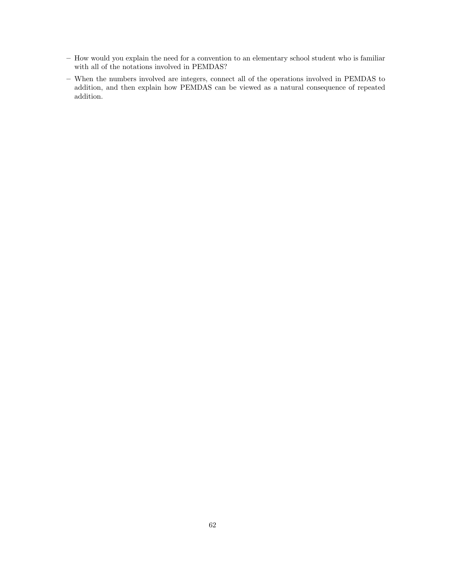- How would you explain the need for a convention to an elementary school student who is familiar with all of the notations involved in PEMDAS?
- When the numbers involved are integers, connect all of the operations involved in PEMDAS to addition, and then explain how PEMDAS can be viewed as a natural consequence of repeated addition.